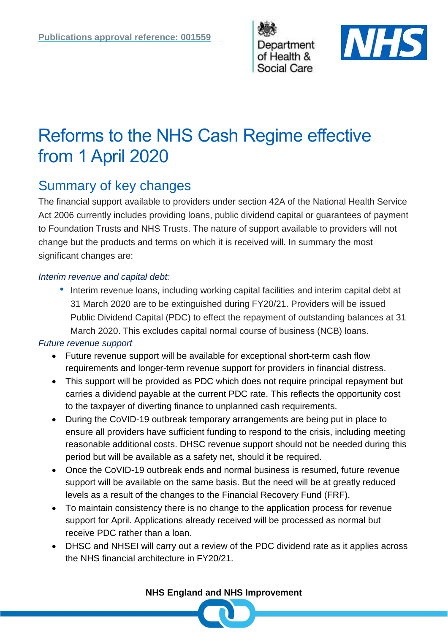



# Reforms to the NHS Cash Regime effective from 1 April 2020

## Summary of key changes

The financial support available to providers under section 42A of the National Health Service Act 2006 currently includes providing loans, public dividend capital or guarantees of payment to Foundation Trusts and NHS Trusts. The nature of support available to providers will not change but the products and terms on which it is received will. In summary the most significant changes are:

#### *Interim revenue and capital debt:*

• Interim revenue loans, including working capital facilities and interim capital debt at 31 March 2020 are to be extinguished during FY20/21. Providers will be issued Public Dividend Capital (PDC) to effect the repayment of outstanding balances at 31 March 2020. This excludes capital normal course of business (NCB) loans.

### *Future revenue support*

- Future revenue support will be available for exceptional short-term cash flow requirements and longer-term revenue support for providers in financial distress.
- This support will be provided as PDC which does not require principal repayment but carries a dividend payable at the current PDC rate. This reflects the opportunity cost to the taxpayer of diverting finance to unplanned cash requirements.
- During the CoVID-19 outbreak temporary arrangements are being put in place to ensure all providers have sufficient funding to respond to the crisis, including meeting reasonable additional costs. DHSC revenue support should not be needed during this period but will be available as a safety net, should it be required.
- Once the CoVID-19 outbreak ends and normal business is resumed, future revenue support will be available on the same basis. But the need will be at greatly reduced levels as a result of the changes to the Financial Recovery Fund (FRF).
- To maintain consistency there is no change to the application process for revenue support for April. Applications already received will be processed as normal but receive PDC rather than a loan.
- DHSC and NHSEI will carry out a review of the PDC dividend rate as it applies across the NHS financial architecture in FY20/21.

**NHS England and NHS Improvement**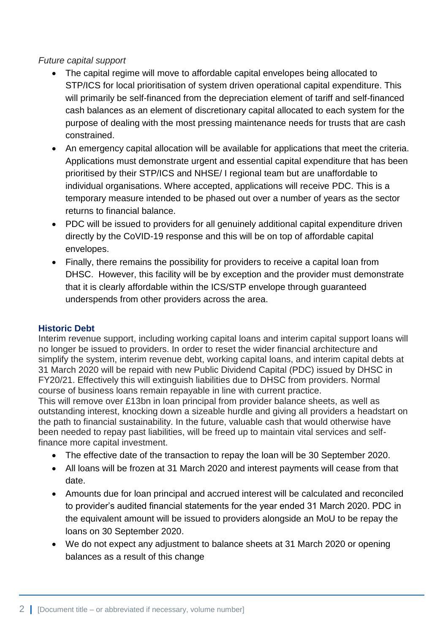#### *Future capital support*

- The capital regime will move to affordable capital envelopes being allocated to STP/ICS for local prioritisation of system driven operational capital expenditure. This will primarily be self-financed from the depreciation element of tariff and self-financed cash balances as an element of discretionary capital allocated to each system for the purpose of dealing with the most pressing maintenance needs for trusts that are cash constrained.
- An emergency capital allocation will be available for applications that meet the criteria. Applications must demonstrate urgent and essential capital expenditure that has been prioritised by their STP/ICS and NHSE/ I regional team but are unaffordable to individual organisations. Where accepted, applications will receive PDC. This is a temporary measure intended to be phased out over a number of years as the sector returns to financial balance.
- PDC will be issued to providers for all genuinely additional capital expenditure driven directly by the CoVID-19 response and this will be on top of affordable capital envelopes.
- Finally, there remains the possibility for providers to receive a capital loan from DHSC. However, this facility will be by exception and the provider must demonstrate that it is clearly affordable within the ICS/STP envelope through guaranteed underspends from other providers across the area.

#### **Historic Debt**

Interim revenue support, including working capital loans and interim capital support loans will no longer be issued to providers. In order to reset the wider financial architecture and simplify the system, interim revenue debt, working capital loans, and interim capital debts at 31 March 2020 will be repaid with new Public Dividend Capital (PDC) issued by DHSC in FY20/21. Effectively this will extinguish liabilities due to DHSC from providers. Normal course of business loans remain repayable in line with current practice.

This will remove over £13bn in loan principal from provider balance sheets, as well as outstanding interest, knocking down a sizeable hurdle and giving all providers a headstart on the path to financial sustainability. In the future, valuable cash that would otherwise have been needed to repay past liabilities, will be freed up to maintain vital services and selffinance more capital investment.

- The effective date of the transaction to repay the loan will be 30 September 2020.
- All loans will be frozen at 31 March 2020 and interest payments will cease from that date.
- Amounts due for loan principal and accrued interest will be calculated and reconciled to provider's audited financial statements for the year ended 31 March 2020. PDC in the equivalent amount will be issued to providers alongside an MoU to be repay the loans on 30 September 2020.
- We do not expect any adjustment to balance sheets at 31 March 2020 or opening balances as a result of this change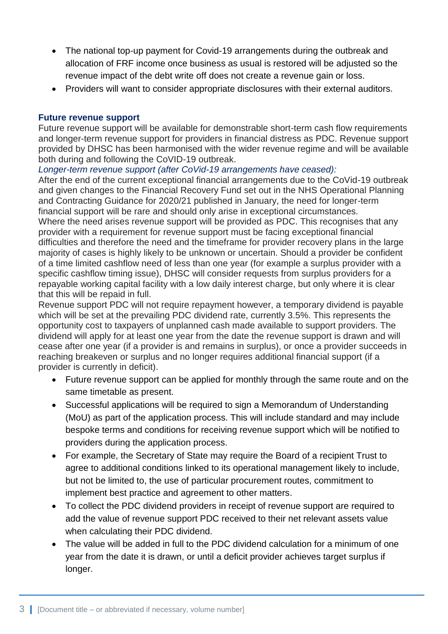- The national top-up payment for Covid-19 arrangements during the outbreak and allocation of FRF income once business as usual is restored will be adjusted so the revenue impact of the debt write off does not create a revenue gain or loss.
- Providers will want to consider appropriate disclosures with their external auditors.

#### **Future revenue support**

Future revenue support will be available for demonstrable short-term cash flow requirements and longer-term revenue support for providers in financial distress as PDC. Revenue support provided by DHSC has been harmonised with the wider revenue regime and will be available both during and following the CoVID-19 outbreak.

*Longer-term revenue support (after CoVid-19 arrangements have ceased):*

After the end of the current exceptional financial arrangements due to the CoVid-19 outbreak and given changes to the Financial Recovery Fund set out in the NHS Operational Planning and Contracting Guidance for 2020/21 published in January, the need for longer-term financial support will be rare and should only arise in exceptional circumstances. Where the need arises revenue support will be provided as PDC. This recognises that any provider with a requirement for revenue support must be facing exceptional financial difficulties and therefore the need and the timeframe for provider recovery plans in the large majority of cases is highly likely to be unknown or uncertain. Should a provider be confident of a time limited cashflow need of less than one year (for example a surplus provider with a specific cashflow timing issue), DHSC will consider requests from surplus providers for a repayable working capital facility with a low daily interest charge, but only where it is clear that this will be repaid in full.

Revenue support PDC will not require repayment however, a temporary dividend is payable which will be set at the prevailing PDC dividend rate, currently 3.5%. This represents the opportunity cost to taxpayers of unplanned cash made available to support providers. The dividend will apply for at least one year from the date the revenue support is drawn and will cease after one year (if a provider is and remains in surplus), or once a provider succeeds in reaching breakeven or surplus and no longer requires additional financial support (if a provider is currently in deficit).

- Future revenue support can be applied for monthly through the same route and on the same timetable as present.
- Successful applications will be required to sign a Memorandum of Understanding (MoU) as part of the application process. This will include standard and may include bespoke terms and conditions for receiving revenue support which will be notified to providers during the application process.
- For example, the Secretary of State may require the Board of a recipient Trust to agree to additional conditions linked to its operational management likely to include, but not be limited to, the use of particular procurement routes, commitment to implement best practice and agreement to other matters.
- To collect the PDC dividend providers in receipt of revenue support are required to add the value of revenue support PDC received to their net relevant assets value when calculating their PDC dividend.
- The value will be added in full to the PDC dividend calculation for a minimum of one year from the date it is drawn, or until a deficit provider achieves target surplus if longer.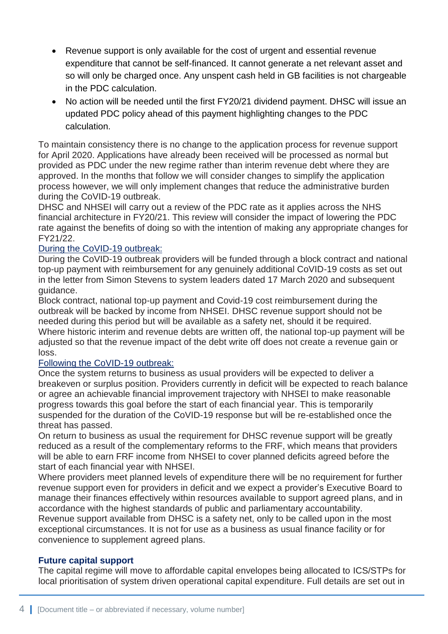- Revenue support is only available for the cost of urgent and essential revenue expenditure that cannot be self-financed. It cannot generate a net relevant asset and so will only be charged once. Any unspent cash held in GB facilities is not chargeable in the PDC calculation.
- No action will be needed until the first FY20/21 dividend payment. DHSC will issue an updated PDC policy ahead of this payment highlighting changes to the PDC calculation.

To maintain consistency there is no change to the application process for revenue support for April 2020. Applications have already been received will be processed as normal but provided as PDC under the new regime rather than interim revenue debt where they are approved. In the months that follow we will consider changes to simplify the application process however, we will only implement changes that reduce the administrative burden during the CoVID-19 outbreak.

DHSC and NHSEI will carry out a review of the PDC rate as it applies across the NHS financial architecture in FY20/21. This review will consider the impact of lowering the PDC rate against the benefits of doing so with the intention of making any appropriate changes for FY21/22.

#### During the CoVID-19 outbreak:

During the CoVID-19 outbreak providers will be funded through a block contract and national top-up payment with reimbursement for any genuinely additional CoVID-19 costs as set out in the letter from Simon Stevens to system leaders dated 17 March 2020 and subsequent guidance.

Block contract, national top-up payment and Covid-19 cost reimbursement during the outbreak will be backed by income from NHSEI. DHSC revenue support should not be needed during this period but will be available as a safety net, should it be required. Where historic interim and revenue debts are written off, the national top-up payment will be adjusted so that the revenue impact of the debt write off does not create a revenue gain or loss.

#### Following the CoVID-19 outbreak:

Once the system returns to business as usual providers will be expected to deliver a breakeven or surplus position. Providers currently in deficit will be expected to reach balance or agree an achievable financial improvement trajectory with NHSEI to make reasonable progress towards this goal before the start of each financial year. This is temporarily suspended for the duration of the CoVID-19 response but will be re-established once the threat has passed.

On return to business as usual the requirement for DHSC revenue support will be greatly reduced as a result of the complementary reforms to the FRF, which means that providers will be able to earn FRF income from NHSEI to cover planned deficits agreed before the start of each financial year with NHSEI.

Where providers meet planned levels of expenditure there will be no requirement for further revenue support even for providers in deficit and we expect a provider's Executive Board to manage their finances effectively within resources available to support agreed plans, and in accordance with the highest standards of public and parliamentary accountability.

Revenue support available from DHSC is a safety net, only to be called upon in the most exceptional circumstances. It is not for use as a business as usual finance facility or for convenience to supplement agreed plans.

#### **Future capital support**

The capital regime will move to affordable capital envelopes being allocated to ICS/STPs for local prioritisation of system driven operational capital expenditure. Full details are set out in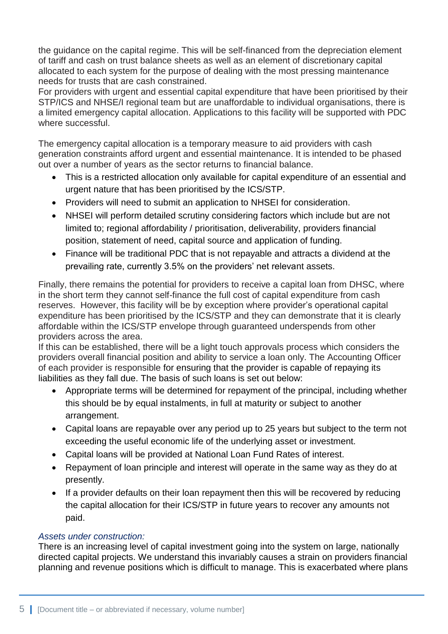the guidance on the capital regime. This will be self-financed from the depreciation element of tariff and cash on trust balance sheets as well as an element of discretionary capital allocated to each system for the purpose of dealing with the most pressing maintenance needs for trusts that are cash constrained.

For providers with urgent and essential capital expenditure that have been prioritised by their STP/ICS and NHSE/I regional team but are unaffordable to individual organisations, there is a limited emergency capital allocation. Applications to this facility will be supported with PDC where successful.

The emergency capital allocation is a temporary measure to aid providers with cash generation constraints afford urgent and essential maintenance. It is intended to be phased out over a number of years as the sector returns to financial balance.

- This is a restricted allocation only available for capital expenditure of an essential and urgent nature that has been prioritised by the ICS/STP.
- Providers will need to submit an application to NHSEI for consideration.
- NHSEI will perform detailed scrutiny considering factors which include but are not limited to; regional affordability / prioritisation, deliverability, providers financial position, statement of need, capital source and application of funding.
- Finance will be traditional PDC that is not repayable and attracts a dividend at the prevailing rate, currently 3.5% on the providers' net relevant assets.

Finally, there remains the potential for providers to receive a capital loan from DHSC, where in the short term they cannot self-finance the full cost of capital expenditure from cash reserves. However, this facility will be by exception where provider's operational capital expenditure has been prioritised by the ICS/STP and they can demonstrate that it is clearly affordable within the ICS/STP envelope through guaranteed underspends from other providers across the area.

If this can be established, there will be a light touch approvals process which considers the providers overall financial position and ability to service a loan only. The Accounting Officer of each provider is responsible for ensuring that the provider is capable of repaying its liabilities as they fall due. The basis of such loans is set out below:

- Appropriate terms will be determined for repayment of the principal, including whether this should be by equal instalments, in full at maturity or subject to another arrangement.
- Capital loans are repayable over any period up to 25 years but subject to the term not exceeding the useful economic life of the underlying asset or investment.
- Capital loans will be provided at National Loan Fund Rates of interest.
- Repayment of loan principle and interest will operate in the same way as they do at presently.
- If a provider defaults on their loan repayment then this will be recovered by reducing the capital allocation for their ICS/STP in future years to recover any amounts not paid.

#### *Assets under construction:*

There is an increasing level of capital investment going into the system on large, nationally directed capital projects. We understand this invariably causes a strain on providers financial planning and revenue positions which is difficult to manage. This is exacerbated where plans